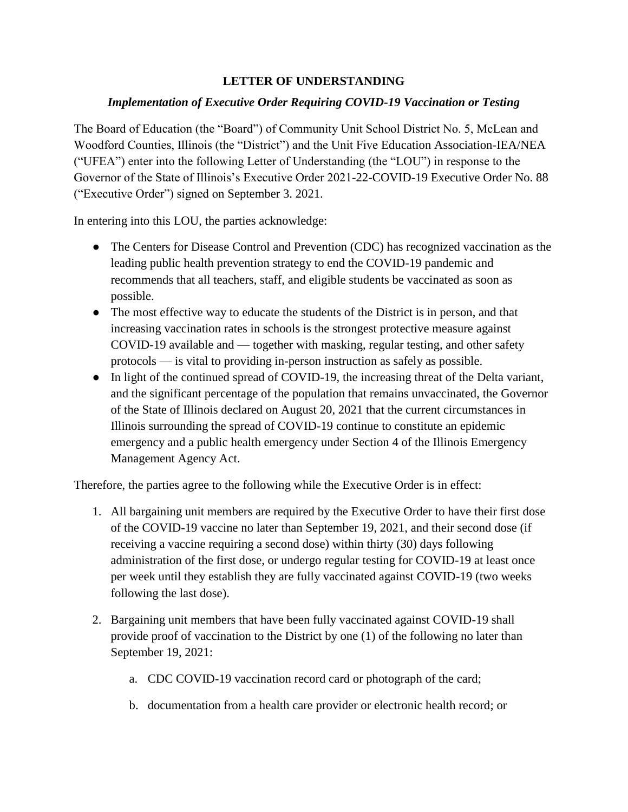## **LETTER OF UNDERSTANDING**

## *Implementation of Executive Order Requiring COVID-19 Vaccination or Testing*

The Board of Education (the "Board") of Community Unit School District No. 5, McLean and Woodford Counties, Illinois (the "District") and the Unit Five Education Association-IEA/NEA ("UFEA") enter into the following Letter of Understanding (the "LOU") in response to the Governor of the State of Illinois's Executive Order 2021-22-COVID-19 Executive Order No. 88 ("Executive Order") signed on September 3. 2021.

In entering into this LOU, the parties acknowledge:

- The Centers for Disease Control and Prevention (CDC) has recognized vaccination as the leading public health prevention strategy to end the COVID-19 pandemic and recommends that all teachers, staff, and eligible students be vaccinated as soon as possible.
- The most effective way to educate the students of the District is in person, and that increasing vaccination rates in schools is the strongest protective measure against COVID-19 available and — together with masking, regular testing, and other safety protocols — is vital to providing in-person instruction as safely as possible.
- In light of the continued spread of COVID-19, the increasing threat of the Delta variant, and the significant percentage of the population that remains unvaccinated, the Governor of the State of Illinois declared on August 20, 2021 that the current circumstances in Illinois surrounding the spread of COVID-19 continue to constitute an epidemic emergency and a public health emergency under Section 4 of the Illinois Emergency Management Agency Act.

Therefore, the parties agree to the following while the Executive Order is in effect:

- 1. All bargaining unit members are required by the Executive Order to have their first dose of the COVID-19 vaccine no later than September 19, 2021, and their second dose (if receiving a vaccine requiring a second dose) within thirty (30) days following administration of the first dose, or undergo regular testing for COVID-19 at least once per week until they establish they are fully vaccinated against COVID-19 (two weeks following the last dose).
- 2. Bargaining unit members that have been fully vaccinated against COVID-19 shall provide proof of vaccination to the District by one (1) of the following no later than September 19, 2021:
	- a. CDC COVID-19 vaccination record card or photograph of the card;
	- b. documentation from a health care provider or electronic health record; or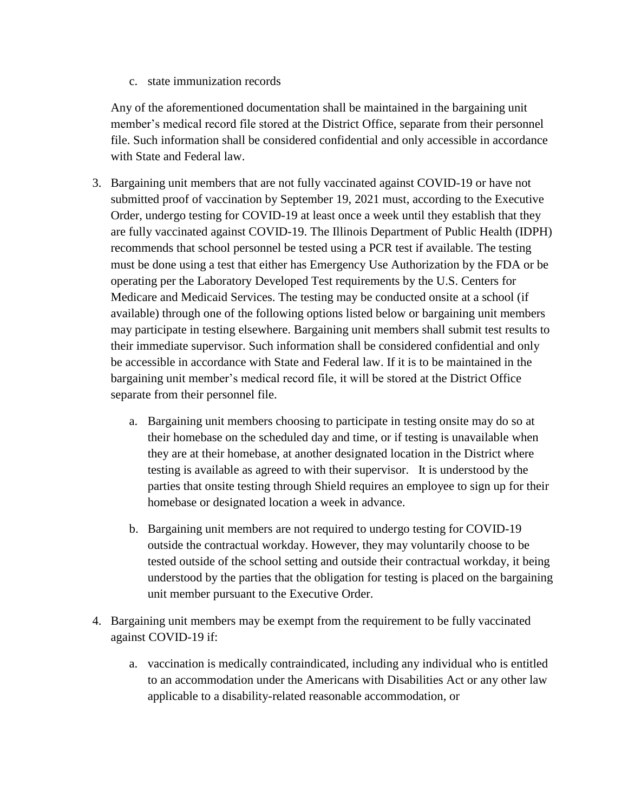c. state immunization records

Any of the aforementioned documentation shall be maintained in the bargaining unit member's medical record file stored at the District Office, separate from their personnel file. Such information shall be considered confidential and only accessible in accordance with State and Federal law.

- 3. Bargaining unit members that are not fully vaccinated against COVID-19 or have not submitted proof of vaccination by September 19, 2021 must, according to the Executive Order, undergo testing for COVID-19 at least once a week until they establish that they are fully vaccinated against COVID-19. The Illinois Department of Public Health (IDPH) recommends that school personnel be tested using a PCR test if available. The testing must be done using a test that either has Emergency Use Authorization by the FDA or be operating per the Laboratory Developed Test requirements by the U.S. Centers for Medicare and Medicaid Services. The testing may be conducted onsite at a school (if available) through one of the following options listed below or bargaining unit members may participate in testing elsewhere. Bargaining unit members shall submit test results to their immediate supervisor. Such information shall be considered confidential and only be accessible in accordance with State and Federal law. If it is to be maintained in the bargaining unit member's medical record file, it will be stored at the District Office separate from their personnel file.
	- a. Bargaining unit members choosing to participate in testing onsite may do so at their homebase on the scheduled day and time, or if testing is unavailable when they are at their homebase, at another designated location in the District where testing is available as agreed to with their supervisor. It is understood by the parties that onsite testing through Shield requires an employee to sign up for their homebase or designated location a week in advance.
	- b. Bargaining unit members are not required to undergo testing for COVID-19 outside the contractual workday. However, they may voluntarily choose to be tested outside of the school setting and outside their contractual workday, it being understood by the parties that the obligation for testing is placed on the bargaining unit member pursuant to the Executive Order.
- 4. Bargaining unit members may be exempt from the requirement to be fully vaccinated against COVID-19 if:
	- a. vaccination is medically contraindicated, including any individual who is entitled to an accommodation under the Americans with Disabilities Act or any other law applicable to a disability-related reasonable accommodation, or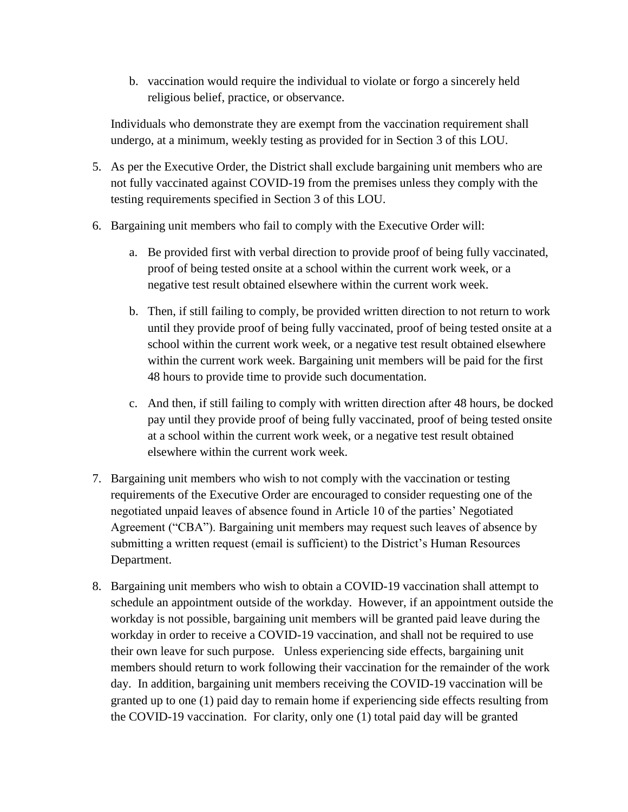b. vaccination would require the individual to violate or forgo a sincerely held religious belief, practice, or observance.

Individuals who demonstrate they are exempt from the vaccination requirement shall undergo, at a minimum, weekly testing as provided for in Section 3 of this LOU.

- 5. As per the Executive Order, the District shall exclude bargaining unit members who are not fully vaccinated against COVID-19 from the premises unless they comply with the testing requirements specified in Section 3 of this LOU.
- 6. Bargaining unit members who fail to comply with the Executive Order will:
	- a. Be provided first with verbal direction to provide proof of being fully vaccinated, proof of being tested onsite at a school within the current work week, or a negative test result obtained elsewhere within the current work week.
	- b. Then, if still failing to comply, be provided written direction to not return to work until they provide proof of being fully vaccinated, proof of being tested onsite at a school within the current work week, or a negative test result obtained elsewhere within the current work week. Bargaining unit members will be paid for the first 48 hours to provide time to provide such documentation.
	- c. And then, if still failing to comply with written direction after 48 hours, be docked pay until they provide proof of being fully vaccinated, proof of being tested onsite at a school within the current work week, or a negative test result obtained elsewhere within the current work week.
- 7. Bargaining unit members who wish to not comply with the vaccination or testing requirements of the Executive Order are encouraged to consider requesting one of the negotiated unpaid leaves of absence found in Article 10 of the parties' Negotiated Agreement ("CBA"). Bargaining unit members may request such leaves of absence by submitting a written request (email is sufficient) to the District's Human Resources Department.
- 8. Bargaining unit members who wish to obtain a COVID-19 vaccination shall attempt to schedule an appointment outside of the workday. However, if an appointment outside the workday is not possible, bargaining unit members will be granted paid leave during the workday in order to receive a COVID-19 vaccination, and shall not be required to use their own leave for such purpose. Unless experiencing side effects, bargaining unit members should return to work following their vaccination for the remainder of the work day. In addition, bargaining unit members receiving the COVID-19 vaccination will be granted up to one (1) paid day to remain home if experiencing side effects resulting from the COVID-19 vaccination. For clarity, only one (1) total paid day will be granted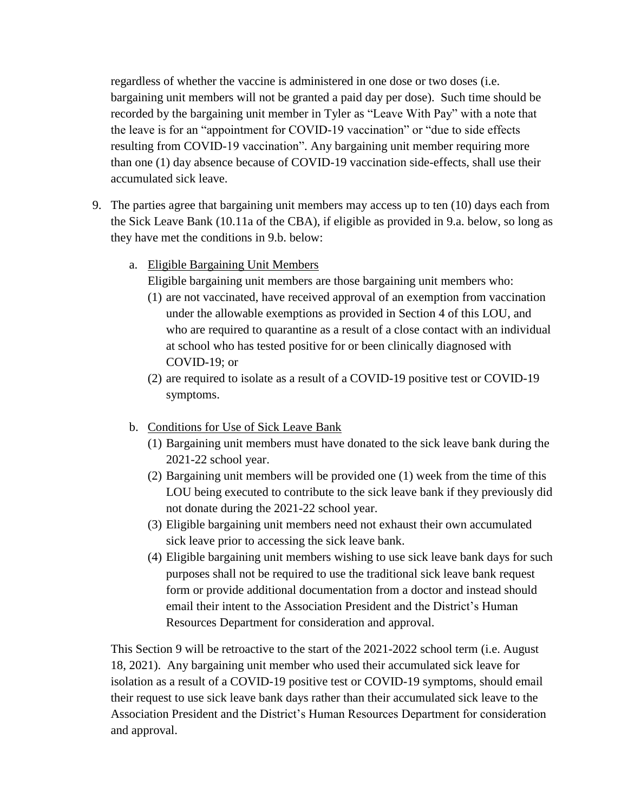regardless of whether the vaccine is administered in one dose or two doses (i.e. bargaining unit members will not be granted a paid day per dose). Such time should be recorded by the bargaining unit member in Tyler as "Leave With Pay" with a note that the leave is for an "appointment for COVID-19 vaccination" or "due to side effects resulting from COVID-19 vaccination". Any bargaining unit member requiring more than one (1) day absence because of COVID-19 vaccination side-effects, shall use their accumulated sick leave.

- 9. The parties agree that bargaining unit members may access up to ten (10) days each from the Sick Leave Bank (10.11a of the CBA), if eligible as provided in 9.a. below, so long as they have met the conditions in 9.b. below:
	- a. Eligible Bargaining Unit Members

Eligible bargaining unit members are those bargaining unit members who:

- (1) are not vaccinated, have received approval of an exemption from vaccination under the allowable exemptions as provided in Section 4 of this LOU, and who are required to quarantine as a result of a close contact with an individual at school who has tested positive for or been clinically diagnosed with COVID-19; or
- (2) are required to isolate as a result of a COVID-19 positive test or COVID-19 symptoms.
- b. Conditions for Use of Sick Leave Bank
	- (1) Bargaining unit members must have donated to the sick leave bank during the 2021-22 school year.
	- (2) Bargaining unit members will be provided one (1) week from the time of this LOU being executed to contribute to the sick leave bank if they previously did not donate during the 2021-22 school year.
	- (3) Eligible bargaining unit members need not exhaust their own accumulated sick leave prior to accessing the sick leave bank.
	- (4) Eligible bargaining unit members wishing to use sick leave bank days for such purposes shall not be required to use the traditional sick leave bank request form or provide additional documentation from a doctor and instead should email their intent to the Association President and the District's Human Resources Department for consideration and approval.

This Section 9 will be retroactive to the start of the 2021-2022 school term (i.e. August 18, 2021). Any bargaining unit member who used their accumulated sick leave for isolation as a result of a COVID-19 positive test or COVID-19 symptoms, should email their request to use sick leave bank days rather than their accumulated sick leave to the Association President and the District's Human Resources Department for consideration and approval.